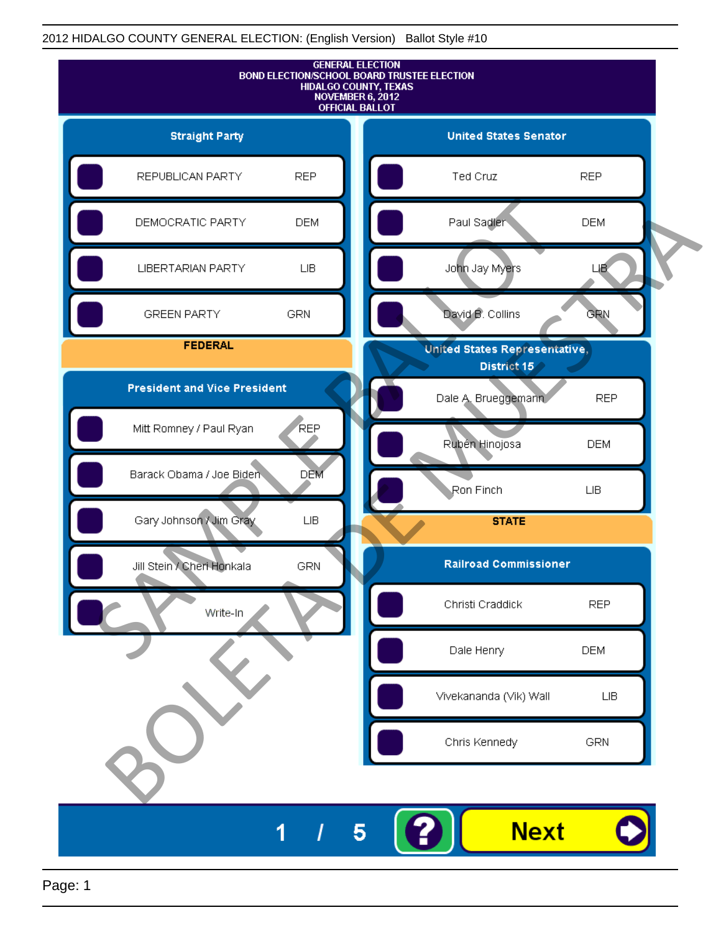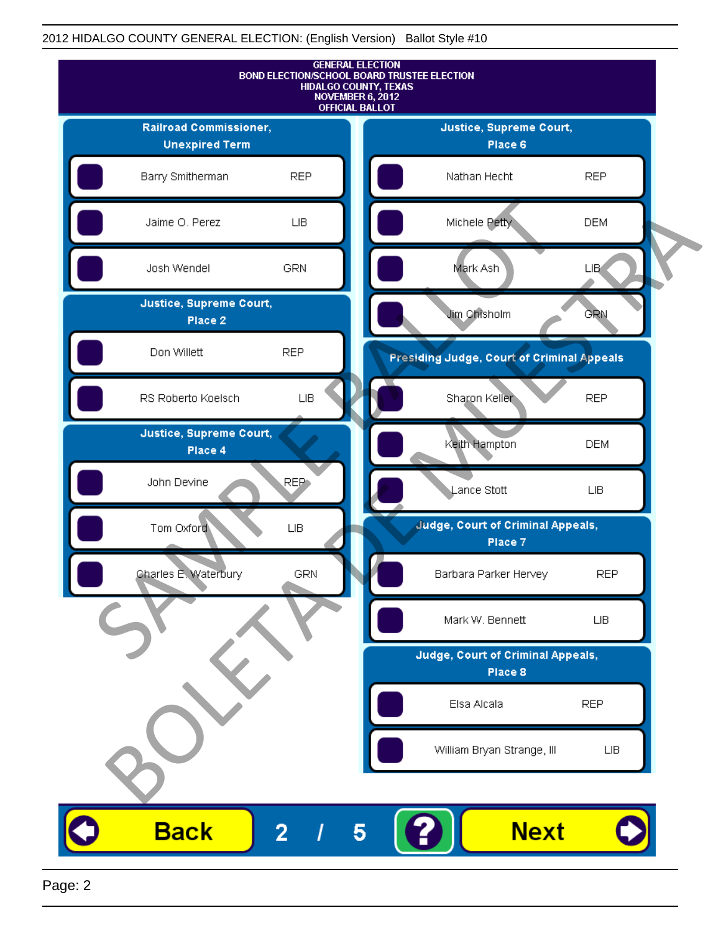

Page: 2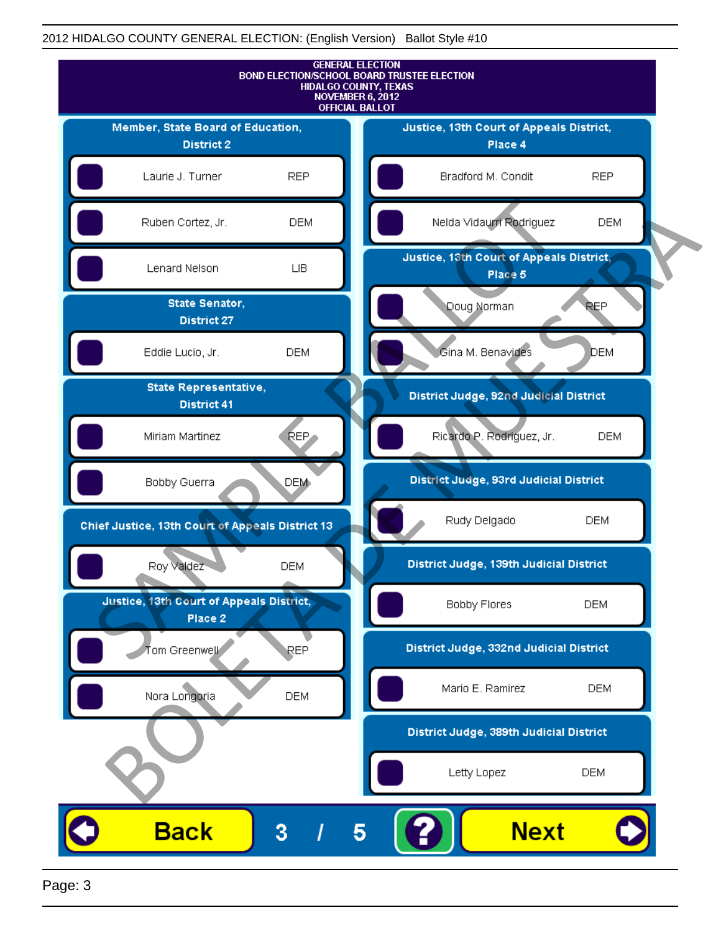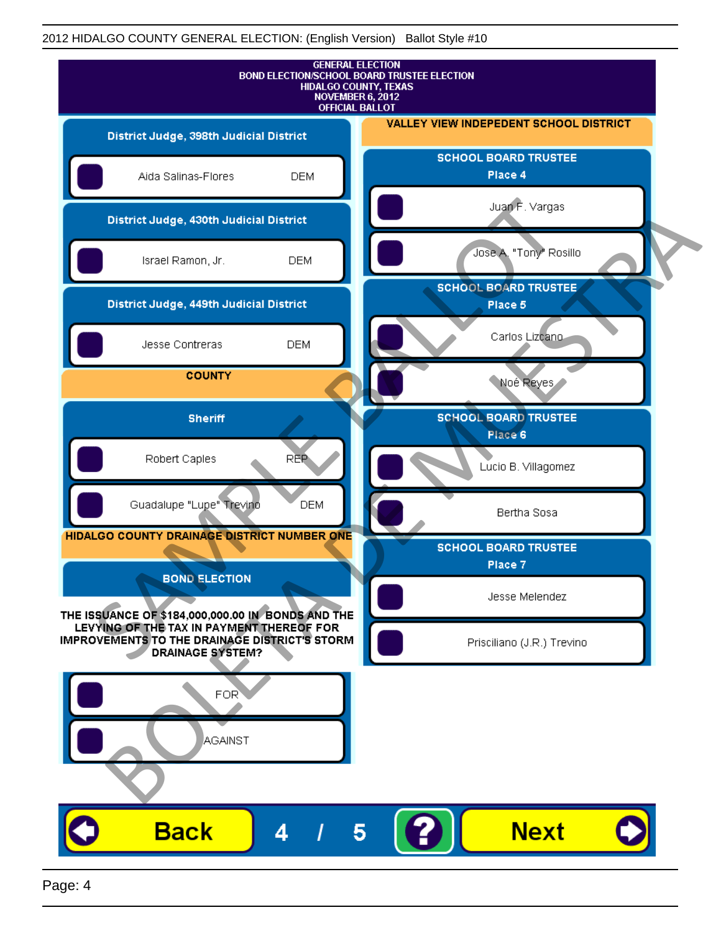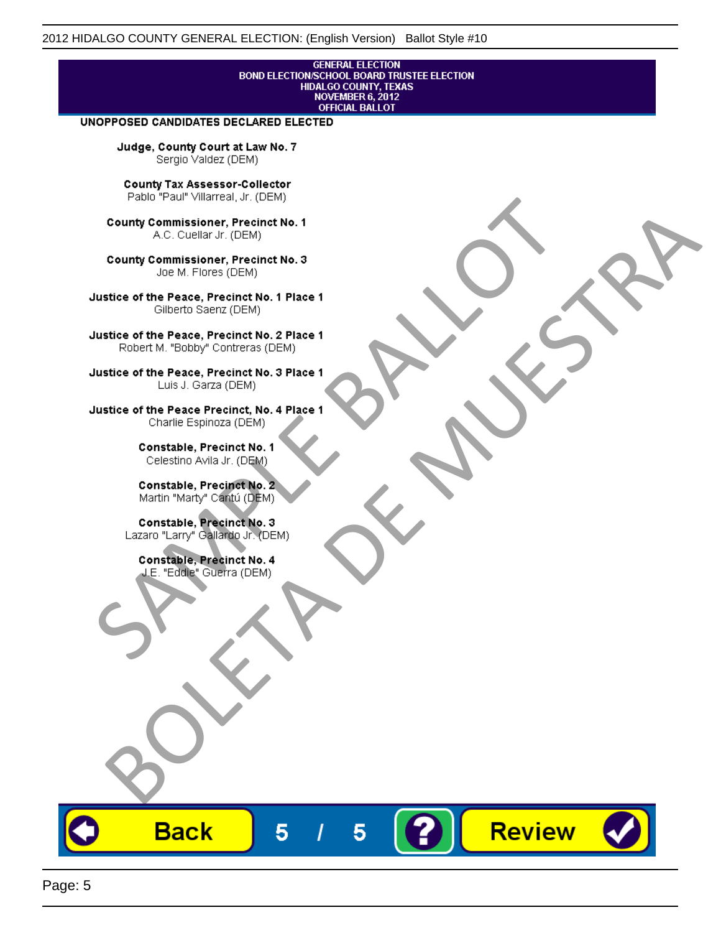## **GENERAL ELECTION** BOND ELECTION/SCHOOL BOARD TRUSTEE ELECTION<br>HIDALGO COUNTY, TEXAS<br>NOVEMBER 6, 2012 **OFFICIAL BALLOT**

Review

#### UNOPPOSED CANDIDATES DECLARED ELECTED

Judge, County Court at Law No. 7 Sergio Valdez (DEM)

County Tax Assessor-Collector

Fall Paul Visitera, Precinct No. 1<br>
County Commissioner, Precinct No. 1<br>
SAC. Cutellar Jr. (DEM)<br>
County Commissioner, Precinct No. 2<br>
Ulattice of the Peace, Precinct No. 2 Place 1<br>
Counter M. "Bobby" Contrers (DEM)<br>
Ulatt County Commissioner, Precinct No. 1<br>
Accounts: A County Commissioner, Precinct No. 3<br>
Use of the Peace, Precinct No. 1<br>
Siste of the Peace, Precinct No. 1<br>
There is a control of the County Commission (DEM)<br>
There is a cont

**Back** 

5

5

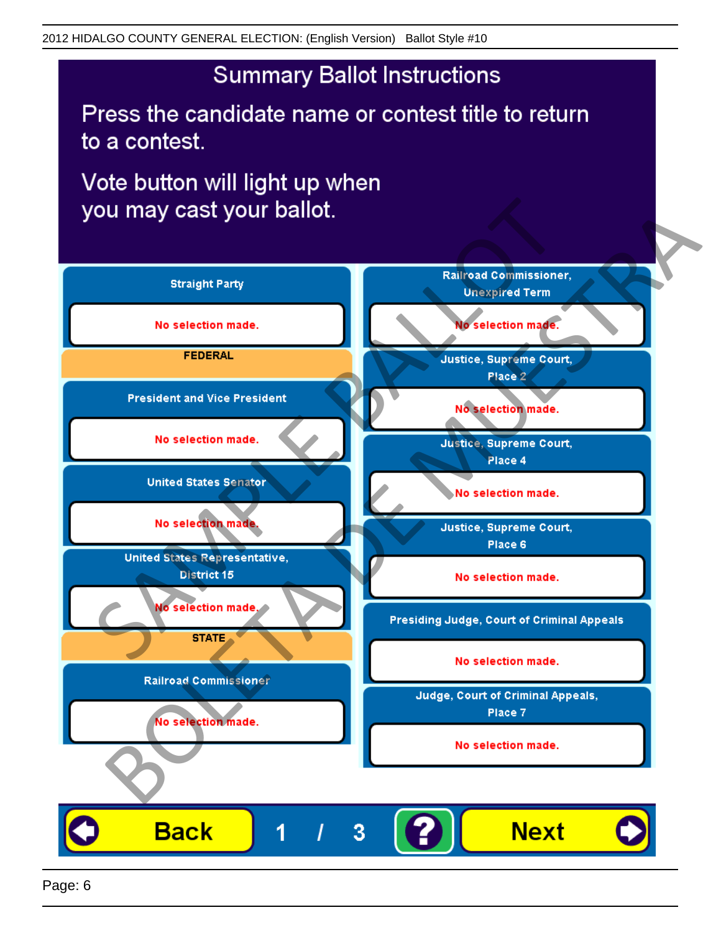# **Summary Ballot Instructions**

Press the candidate name or contest title to return to a contest.

Vote button will light up when

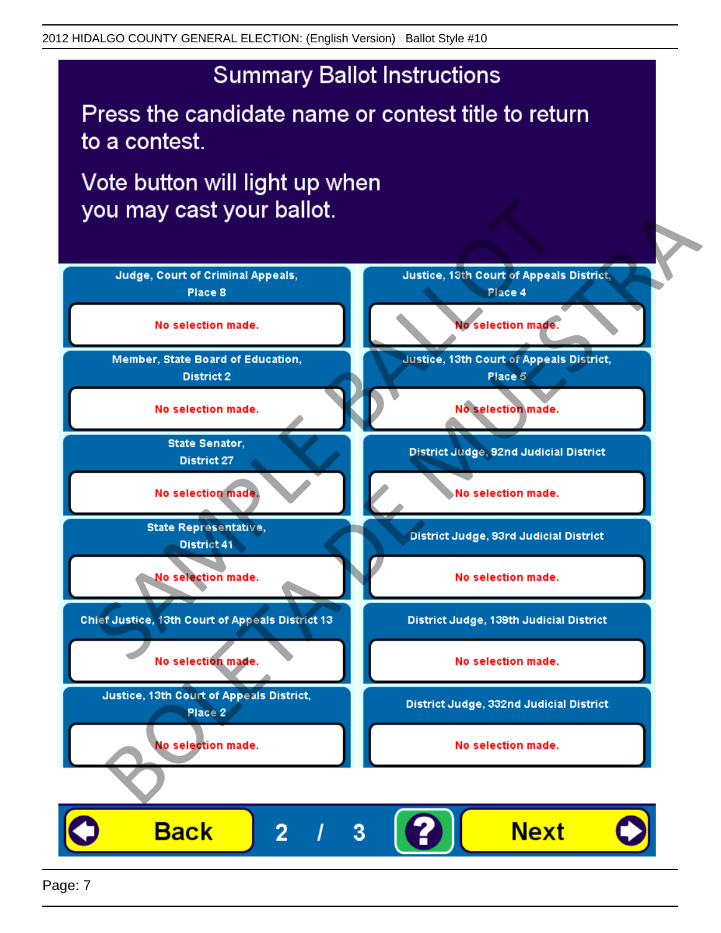## **Summary Ballot Instructions**

Press the candidate name or contest title to return to a contest.

Vote button will light up when